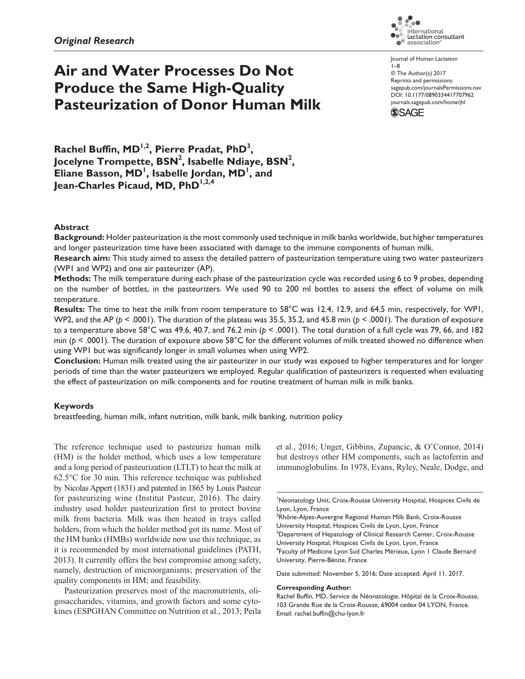# **Air and Water Processes Do Not Produce the Same High-Quality Pasteurization of Donor Human Milk**



Journal of Human Lactation 1–8 © The Author(s) 2017 Reprints and permissions: [sagepub.com/journalsPermissions.nav](https://us.sagepub.com/en-us/journals-permissions) https://doi.org/10.1177/0890334417707962 DOI: 10.1177/0890334417707962 [journals.sagepub.com/home/jhl](https://journals.sagepub.com/home/jhl) **SSAGE** 

Rachel Buffin, MD<sup>1,2</sup>, Pierre Pradat, PhD<sup>3</sup>, Jocelyne Trompette, BSN<sup>2</sup>, Isabelle Ndiaye, BSN<sup>2</sup>, **Eliane Basson, MD<sup>1</sup>, Isabelle Jordan, MD<sup>1</sup>, and** Jean-Charles Picaud, MD, PhD<sup>1,2,4</sup>

## **Abstract**

**Background:** Holder pasteurization is the most commonly used technique in milk banks worldwide, but higher temperatures and longer pasteurization time have been associated with damage to the immune components of human milk.

**Research aim:** This study aimed to assess the detailed pattern of pasteurization temperature using two water pasteurizers (WP1 and WP2) and one air pasteurizer (AP).

**Methods:** The milk temperature during each phase of the pasteurization cycle was recorded using 6 to 9 probes, depending on the number of bottles, in the pasteurizers. We used 90 to 200 ml bottles to assess the effect of volume on milk temperature.

**Results:** The time to heat the milk from room temperature to 58°C was 12.4, 12.9, and 64.5 min, respectively, for WP1, WP2, and the AP ( $p < .0001$ ). The duration of the plateau was 35.5, 35.2, and 45.8 min ( $p < .0001$ ). The duration of exposure to a temperature above 58°C was 49.6, 40.7, and 76.2 min ( $p < .0001$ ). The total duration of a full cycle was 79, 66, and 182 min (*p* < .0001). The duration of exposure above 58°C for the different volumes of milk treated showed no difference when using WP1 but was significantly longer in small volumes when using WP2.

**Conclusion:** Human milk treated using the air pasteurizer in our study was exposed to higher temperatures and for longer periods of time than the water pasteurizers we employed. Regular qualification of pasteurizers is requested when evaluating the effect of pasteurization on milk components and for routine treatment of human milk in milk banks.

#### **Keywords**

breastfeeding, human milk, infant nutrition, milk bank, milk banking, nutrition policy

The reference technique used to pasteurize human milk (HM) is the holder method, which uses a low temperature and a long period of pasteurization (LTLT) to heat the milk at 62.5°C for 30 min. This reference technique was published by Nicolas Appert (1831) and patented in 1865 by Louis Pasteur for pasteurizing wine (Institut Pasteur, 2016). The dairy industry used holder pasteurization first to protect bovine milk from bacteria. Milk was then heated in trays called holders, from which the holder method got its name. Most of the HM banks (HMBs) worldwide now use this technique, as it is recommended by most international guidelines (PATH, 2013). It currently offers the best compromise among safety, namely, destruction of microorganisms; preservation of the quality components in HM; and feasibility.

Pasteurization preserves most of the macronutrients, oligosaccharides, vitamins, and growth factors and some cytokines (ESPGHAN Committee on Nutrition et al., 2013; Peila et al., 2016; Unger, Gibbins, Zupancic, & O'Connor, 2014) but destroys other HM components, such as lactoferrin and immunoglobulins. In 1978, Evans, Ryley, Neale, Dodge, and

Date submitted: November 5, 2016; Date accepted: April 11, 2017.

#### **Corresponding Author:**

<sup>&</sup>lt;sup>1</sup>Neonatology Unit, Croix-Rousse University Hospital, Hospices Civils de Lyon, Lyon, France

<sup>&</sup>lt;sup>2</sup>Rhône-Alpes-Auvergne Regional Human Milk Bank, Croix-Rousse University Hospital, Hospices Civils de Lyon, Lyon, France <sup>3</sup>Department of Hepatology of Clinical Research Center, Croix-Rousse University Hospital, Hospices Civils de Lyon, Lyon, France 4 Faculty of Medicine Lyon Sud Charles Mérieux, Lyon 1 Claude Bernard University, Pierre-Bénite, France

Rachel Buffin, MD, Service de Néonatologie, Hôpital de la Croix-Rousse, 103 Grande Rue de la Croix-Rousse, 69004 cedex 04 LYON, France. Email: [rachel.buffin@chu-lyon.fr](mailto:rachel.buffin@chu-lyon.fr)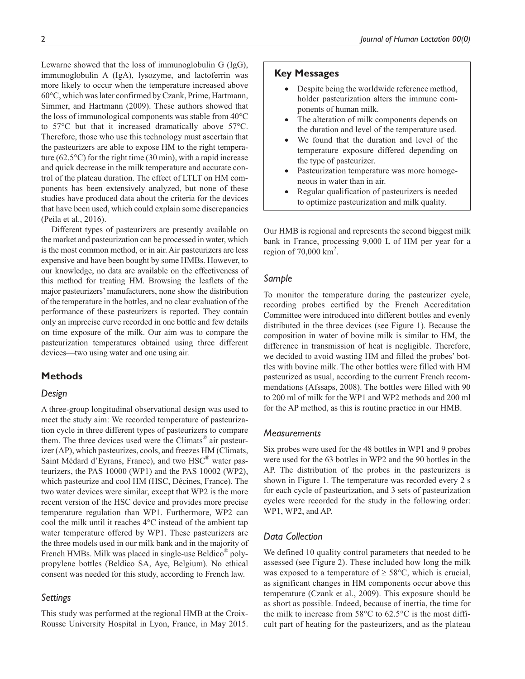Lewarne showed that the loss of immunoglobulin G (IgG), immunoglobulin A (IgA), lysozyme, and lactoferrin was more likely to occur when the temperature increased above 60°C, which was later confirmed by Czank, Prime, Hartmann, Simmer, and Hartmann (2009). These authors showed that the loss of immunological components was stable from 40°C to 57°C but that it increased dramatically above 57°C. Therefore, those who use this technology must ascertain that the pasteurizers are able to expose HM to the right temperature (62.5°C) for the right time (30 min), with a rapid increase and quick decrease in the milk temperature and accurate control of the plateau duration. The effect of LTLT on HM components has been extensively analyzed, but none of these studies have produced data about the criteria for the devices that have been used, which could explain some discrepancies (Peila et al., 2016).

Different types of pasteurizers are presently available on the market and pasteurization can be processed in water, which is the most common method, or in air. Air pasteurizers are less expensive and have been bought by some HMBs. However, to our knowledge, no data are available on the effectiveness of this method for treating HM. Browsing the leaflets of the major pasteurizers' manufacturers, none show the distribution of the temperature in the bottles, and no clear evaluation of the performance of these pasteurizers is reported. They contain only an imprecise curve recorded in one bottle and few details on time exposure of the milk. Our aim was to compare the pasteurization temperatures obtained using three different devices—two using water and one using air.

# **Methods**

## *Design*

A three-group longitudinal observational design was used to meet the study aim: We recorded temperature of pasteurization cycle in three different types of pasteurizers to compare them. The three devices used were the Climats<sup>®</sup> air pasteurizer (AP), which pasteurizes, cools, and freezes HM (Climats, Saint Médard d'Eyrans, France), and two HSC® water pasteurizers, the PAS 10000 (WP1) and the PAS 10002 (WP2), which pasteurize and cool HM (HSC, Décines, France). The two water devices were similar, except that WP2 is the more recent version of the HSC device and provides more precise temperature regulation than WP1. Furthermore, WP2 can cool the milk until it reaches 4°C instead of the ambient tap water temperature offered by WP1. These pasteurizers are the three models used in our milk bank and in the majority of French HMBs. Milk was placed in single-use Beldico<sup>®</sup> polypropylene bottles (Beldico SA, Aye, Belgium). No ethical consent was needed for this study, according to French law.

## *Settings*

This study was performed at the regional HMB at the Croix-Rousse University Hospital in Lyon, France, in May 2015.

# **Key Messages**

- Despite being the worldwide reference method, holder pasteurization alters the immune components of human milk.
- The alteration of milk components depends on the duration and level of the temperature used.
- We found that the duration and level of the temperature exposure differed depending on the type of pasteurizer.
- Pasteurization temperature was more homogeneous in water than in air.
- Regular qualification of pasteurizers is needed to optimize pasteurization and milk quality.

Our HMB is regional and represents the second biggest milk bank in France, processing 9,000 L of HM per year for a region of  $70,000 \text{ km}^2$ .

## *Sample*

To monitor the temperature during the pasteurizer cycle, recording probes certified by the French Accreditation Committee were introduced into different bottles and evenly distributed in the three devices (see Figure 1). Because the composition in water of bovine milk is similar to HM, the difference in transmission of heat is negligible. Therefore, we decided to avoid wasting HM and filled the probes' bottles with bovine milk. The other bottles were filled with HM pasteurized as usual, according to the current French recommendations (Afssaps, 2008). The bottles were filled with 90 to 200 ml of milk for the WP1 and WP2 methods and 200 ml for the AP method, as this is routine practice in our HMB.

#### *Measurements*

Six probes were used for the 48 bottles in WP1 and 9 probes were used for the 63 bottles in WP2 and the 90 bottles in the AP. The distribution of the probes in the pasteurizers is shown in Figure 1. The temperature was recorded every 2 s for each cycle of pasteurization, and 3 sets of pasteurization cycles were recorded for the study in the following order: WP1, WP2, and AP.

## *Data Collection*

We defined 10 quality control parameters that needed to be assessed (see Figure 2). These included how long the milk was exposed to a temperature of  $\geq 58^{\circ}$ C, which is crucial, as significant changes in HM components occur above this temperature (Czank et al., 2009). This exposure should be as short as possible. Indeed, because of inertia, the time for the milk to increase from 58°C to 62.5°C is the most difficult part of heating for the pasteurizers, and as the plateau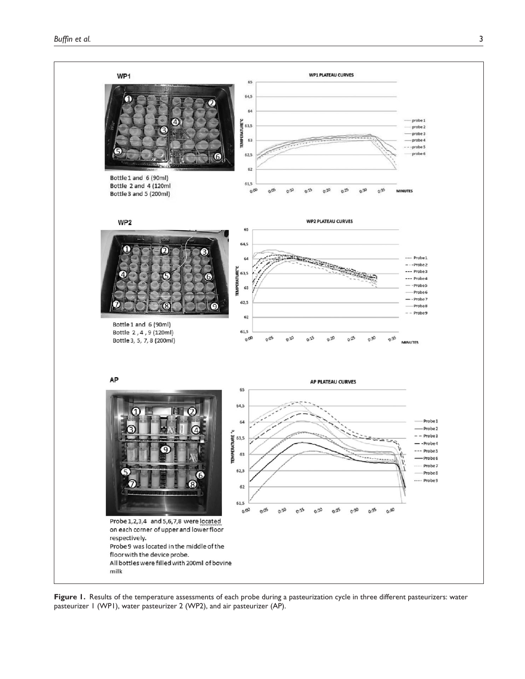

**Figure 1.** Results of the temperature assessments of each probe during a pasteurization cycle in three different pasteurizers: water pasteurizer 1 (WP1), water pasteurizer 2 (WP2), and air pasteurizer (AP).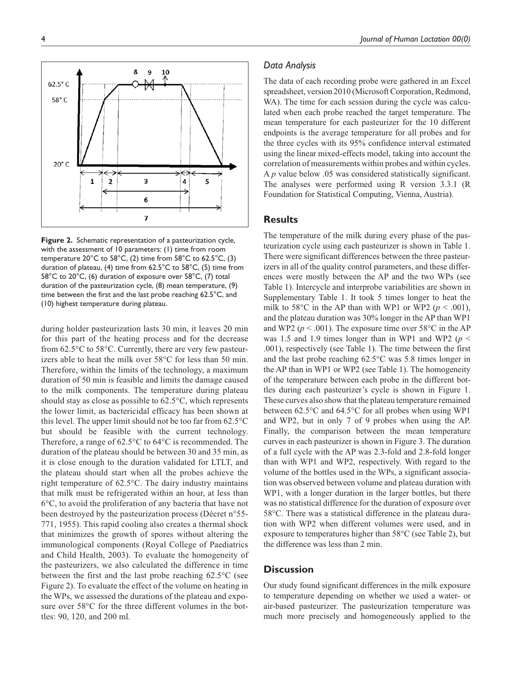

**Figure 2.** Schematic representation of a pasteurization cycle, with the assessment of 10 parameters: (1) time from room temperature 20°C to 58°C, (2) time from 58°C to 62.5°C, (3) duration of plateau, (4) time from 62.5°C to 58°C, (5) time from 58°C to 20°C, (6) duration of exposure over 58°C, (7) total duration of the pasteurization cycle, (8) mean temperature, (9) time between the first and the last probe reaching 62.5°C, and (10) highest temperature during plateau.

during holder pasteurization lasts 30 min, it leaves 20 min for this part of the heating process and for the decrease from 62.5°C to 58°C. Currently, there are very few pasteurizers able to heat the milk over 58°C for less than 50 min. Therefore, within the limits of the technology, a maximum duration of 50 min is feasible and limits the damage caused to the milk components. The temperature during plateau should stay as close as possible to 62.5°C, which represents the lower limit, as bactericidal efficacy has been shown at this level. The upper limit should not be too far from 62.5°C but should be feasible with the current technology. Therefore, a range of 62.5°C to 64°C is recommended. The duration of the plateau should be between 30 and 35 min, as it is close enough to the duration validated for LTLT, and the plateau should start when all the probes achieve the right temperature of 62.5°C. The dairy industry maintains that milk must be refrigerated within an hour, at less than 6°C, to avoid the proliferation of any bacteria that have not been destroyed by the pasteurization process (Décret n°55- 771, 1955). This rapid cooling also creates a thermal shock that minimizes the growth of spores without altering the immunological components (Royal College of Paediatrics and Child Health, 2003). To evaluate the homogeneity of the pasteurizers, we also calculated the difference in time between the first and the last probe reaching 62.5°C (see Figure 2). To evaluate the effect of the volume on heating in the WPs, we assessed the durations of the plateau and exposure over 58°C for the three different volumes in the bottles: 90, 120, and 200 ml.

## *Data Analysis*

The data of each recording probe were gathered in an Excel spreadsheet, version 2010 (Microsoft Corporation, Redmond, WA). The time for each session during the cycle was calculated when each probe reached the target temperature. The mean temperature for each pasteurizer for the 10 different endpoints is the average temperature for all probes and for the three cycles with its 95% confidence interval estimated using the linear mixed-effects model, taking into account the correlation of measurements within probes and within cycles. A *p* value below .05 was considered statistically significant. The analyses were performed using R version 3.3.1 (R Foundation for Statistical Computing, Vienna, Austria).

## **Results**

The temperature of the milk during every phase of the pasteurization cycle using each pasteurizer is shown in Table 1. There were significant differences between the three pasteurizers in all of the quality control parameters, and these differences were mostly between the AP and the two WPs (see Table 1). Intercycle and interprobe variabilities are shown in Supplementary Table 1. It took 5 times longer to heat the milk to 58 $^{\circ}$ C in the AP than with WP1 or WP2 ( $p < .001$ ), and the plateau duration was 30% longer in the AP than WP1 and WP2 ( $p < .001$ ). The exposure time over 58<sup>o</sup>C in the AP was 1.5 and 1.9 times longer than in WP1 and WP2 ( $p <$ .001), respectively (see Table 1). The time between the first and the last probe reaching 62.5°C was 5.8 times longer in the AP than in WP1 or WP2 (see Table 1). The homogeneity of the temperature between each probe in the different bottles during each pasteurizer's cycle is shown in Figure 1. These curves also show that the plateau temperature remained between 62.5°C and 64.5°C for all probes when using WP1 and WP2, but in only 7 of 9 probes when using the AP. Finally, the comparison between the mean temperature curves in each pasteurizer is shown in Figure 3. The duration of a full cycle with the AP was 2.3-fold and 2.8-fold longer than with WP1 and WP2, respectively. With regard to the volume of the bottles used in the WPs, a significant association was observed between volume and plateau duration with WP1, with a longer duration in the larger bottles, but there was no statistical difference for the duration of exposure over 58°C. There was a statistical difference in the plateau duration with WP2 when different volumes were used, and in exposure to temperatures higher than 58°C (see Table 2), but the difference was less than 2 min.

## **Discussion**

Our study found significant differences in the milk exposure to temperature depending on whether we used a water- or air-based pasteurizer. The pasteurization temperature was much more precisely and homogeneously applied to the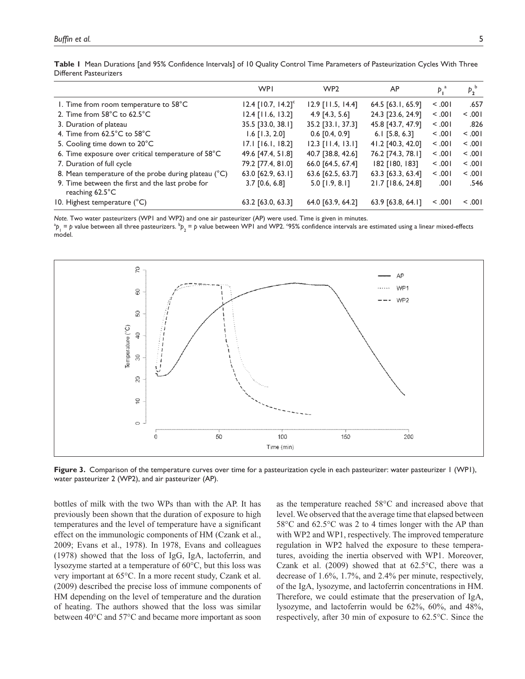| <b>WPI</b>                        | WP <sub>2</sub>     | AP                | $p_1^a$ | $p_2^{\ b}$ |
|-----------------------------------|---------------------|-------------------|---------|-------------|
| $[12.4 [10.7, 14.2]$ <sup>c</sup> | $12.9$ [11.5, 14.4] | 64.5 [63.1, 65.9] | 100.    | .657        |
| $12.4$ [11.6, 13.2]               | $4.9$ [4.3, 5.6]    | 24.3 [23.6, 24.9] | 100.    | 100.        |
| 35.5 [33.0, 38.1]                 | 35.2 [33.1, 37.3]   | 45.8 [43.7, 47.9] | 100.    | .826        |
| $1.6$ [1.3, 2.0]                  | $0.6$ [0.4, 0.9]    | 6.1 $[5.8, 6.3]$  | < 0.01  | 100.        |
| $17.1$ [16.1, 18.2]               | $12.3$ [11.4, 13.1] | 41.2 [40.3, 42.0] | 100.    | 100.        |
| 49.6 [47.4, 51.8]                 | 40.7 [38.8, 42.6]   | 76.2 [74.3, 78.1] | 100.    | 100.        |
| 79.2 [77.4, 81.0]                 | 66.0 [64.5, 67.4]   | 182 [180, 183]    | 100.    | 100.        |
| 63.0 [62.9, 63.1]                 | 63.6 [62.5, 63.7]   | 63.3 [63.3, 63.4] | 100.    | 100.        |
| $3.7$ [0.6, 6.8]                  | $5.0$ [1.9, 8.1]    | 21.7 [18.6, 24.8] | .001    | .546        |
| 63.2 [63.0, 63.3]                 | 64.0 [63.9, 64.2]   | 63.9 [63.8, 64.1] | < 0.01  | 100.        |
|                                   |                     |                   |         |             |

**Table 1** Mean Durations [and 95% Confidence Intervals] of 10 Quality Control Time Parameters of Pasteurization Cycles With Three Different Pasteurizers

*Note.* Two water pasteurizers (WP1 and WP2) and one air pasteurizer (AP) were used. Time is given in minutes.

 ${}^aP_1$  = *p* value between all three pasteurizers.  ${}^bP_2$  = *p* value between WP1 and WP2. °95% confidence intervals are estimated using a linear mixed-effects model.



**Figure 3.** Comparison of the temperature curves over time for a pasteurization cycle in each pasteurizer: water pasteurizer 1 (WP1), water pasteurizer 2 (WP2), and air pasteurizer (AP).

bottles of milk with the two WPs than with the AP. It has previously been shown that the duration of exposure to high temperatures and the level of temperature have a significant effect on the immunologic components of HM (Czank et al., 2009; Evans et al., 1978). In 1978, Evans and colleagues (1978) showed that the loss of IgG, IgA, lactoferrin, and lysozyme started at a temperature of 60°C, but this loss was very important at 65°C. In a more recent study, Czank et al. (2009) described the precise loss of immune components of HM depending on the level of temperature and the duration of heating. The authors showed that the loss was similar between 40°C and 57°C and became more important as soon

as the temperature reached 58°C and increased above that level. We observed that the average time that elapsed between 58°C and 62.5°C was 2 to 4 times longer with the AP than with WP2 and WP1, respectively. The improved temperature regulation in WP2 halved the exposure to these temperatures, avoiding the inertia observed with WP1. Moreover, Czank et al. (2009) showed that at  $62.5^{\circ}$ C, there was a decrease of 1.6%, 1.7%, and 2.4% per minute, respectively, of the IgA, lysozyme, and lactoferrin concentrations in HM. Therefore, we could estimate that the preservation of IgA, lysozyme, and lactoferrin would be 62%, 60%, and 48%, respectively, after 30 min of exposure to 62.5°C. Since the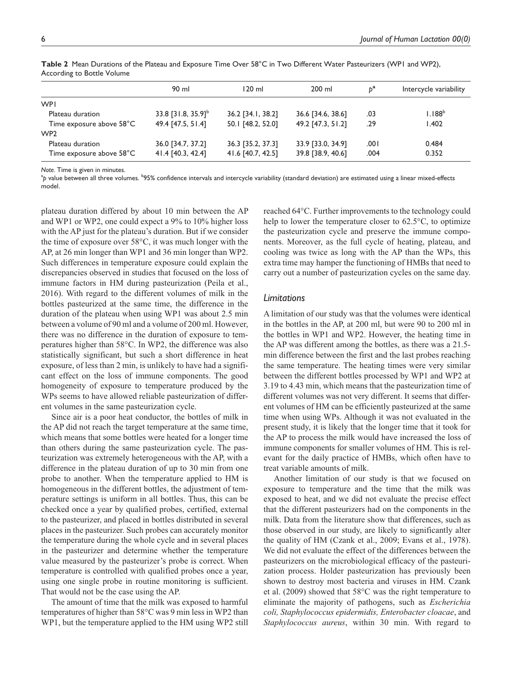|                          | 90 ml                          | $120 \text{ ml}$  | $200$ ml          | $b^a$ | Intercycle variability |
|--------------------------|--------------------------------|-------------------|-------------------|-------|------------------------|
| <b>WPI</b>               |                                |                   |                   |       |                        |
| Plateau duration         | 33.8 [31.8, 35.9] <sup>b</sup> | 36.2 [34.1, 38.2] | 36.6 [34.6, 38.6] | .03   | 1.188 <sup>b</sup>     |
| Time exposure above 58°C | 49.4 [47.5, 51.4]              | 50.1 [48.2, 52.0] | 49.2 [47.3, 51.2] | .29   | 1.402                  |
| WP <sub>2</sub>          |                                |                   |                   |       |                        |
| Plateau duration         | 36.0 [34.7, 37.2]              | 36.3 [35.2, 37.3] | 33.9 [33.0, 34.9] | .001  | 0.484                  |
| Time exposure above 58°C | 41.4 [40.3, 42.4]              | 41.6 [40.7, 42.5] | 39.8 [38.9, 40.6] | .004  | 0.352                  |

**Table 2** Mean Durations of the Plateau and Exposure Time Over 58°C in Two Different Water Pasteurizers (WP1 and WP2), According to Bottle Volume

*Note.* Time is given in minutes.

<sup>a</sup>p value between all three volumes. <sup>b</sup>95% confidence intervals and intercycle variability (standard deviation) are estimated using a linear mixed-effects model.

plateau duration differed by about 10 min between the AP and WP1 or WP2, one could expect a 9% to 10% higher loss with the AP just for the plateau's duration. But if we consider the time of exposure over 58°C, it was much longer with the AP, at 26 min longer than WP1 and 36 min longer than WP2. Such differences in temperature exposure could explain the discrepancies observed in studies that focused on the loss of immune factors in HM during pasteurization (Peila et al., 2016). With regard to the different volumes of milk in the bottles pasteurized at the same time, the difference in the duration of the plateau when using WP1 was about 2.5 min between a volume of 90 ml and a volume of 200 ml. However, there was no difference in the duration of exposure to temperatures higher than 58°C. In WP2, the difference was also statistically significant, but such a short difference in heat exposure, of less than 2 min, is unlikely to have had a significant effect on the loss of immune components. The good homogeneity of exposure to temperature produced by the WPs seems to have allowed reliable pasteurization of different volumes in the same pasteurization cycle.

Since air is a poor heat conductor, the bottles of milk in the AP did not reach the target temperature at the same time, which means that some bottles were heated for a longer time than others during the same pasteurization cycle. The pasteurization was extremely heterogeneous with the AP, with a difference in the plateau duration of up to 30 min from one probe to another. When the temperature applied to HM is homogeneous in the different bottles, the adjustment of temperature settings is uniform in all bottles. Thus, this can be checked once a year by qualified probes, certified, external to the pasteurizer, and placed in bottles distributed in several places in the pasteurizer. Such probes can accurately monitor the temperature during the whole cycle and in several places in the pasteurizer and determine whether the temperature value measured by the pasteurizer's probe is correct. When temperature is controlled with qualified probes once a year, using one single probe in routine monitoring is sufficient. That would not be the case using the AP.

The amount of time that the milk was exposed to harmful temperatures of higher than 58°C was 9 min less in WP2 than WP1, but the temperature applied to the HM using WP2 still

reached 64°C. Further improvements to the technology could help to lower the temperature closer to 62.5°C, to optimize the pasteurization cycle and preserve the immune components. Moreover, as the full cycle of heating, plateau, and cooling was twice as long with the AP than the WPs, this extra time may hamper the functioning of HMBs that need to carry out a number of pasteurization cycles on the same day.

#### *Limitations*

A limitation of our study was that the volumes were identical in the bottles in the AP, at 200 ml, but were 90 to 200 ml in the bottles in WP1 and WP2. However, the heating time in the AP was different among the bottles, as there was a 21.5 min difference between the first and the last probes reaching the same temperature. The heating times were very similar between the different bottles processed by WP1 and WP2 at 3.19 to 4.43 min, which means that the pasteurization time of different volumes was not very different. It seems that different volumes of HM can be efficiently pasteurized at the same time when using WPs. Although it was not evaluated in the present study, it is likely that the longer time that it took for the AP to process the milk would have increased the loss of immune components for smaller volumes of HM. This is relevant for the daily practice of HMBs, which often have to treat variable amounts of milk.

Another limitation of our study is that we focused on exposure to temperature and the time that the milk was exposed to heat, and we did not evaluate the precise effect that the different pasteurizers had on the components in the milk. Data from the literature show that differences, such as those observed in our study, are likely to significantly alter the quality of HM (Czank et al., 2009; Evans et al., 1978). We did not evaluate the effect of the differences between the pasteurizers on the microbiological efficacy of the pasteurization process. Holder pasteurization has previously been shown to destroy most bacteria and viruses in HM. Czank et al. (2009) showed that 58°C was the right temperature to eliminate the majority of pathogens, such as *Escherichia coli, Staphylococcus epidermidis, Enterobacter cloacae*, and *Staphylococcus aureus*, within 30 min. With regard to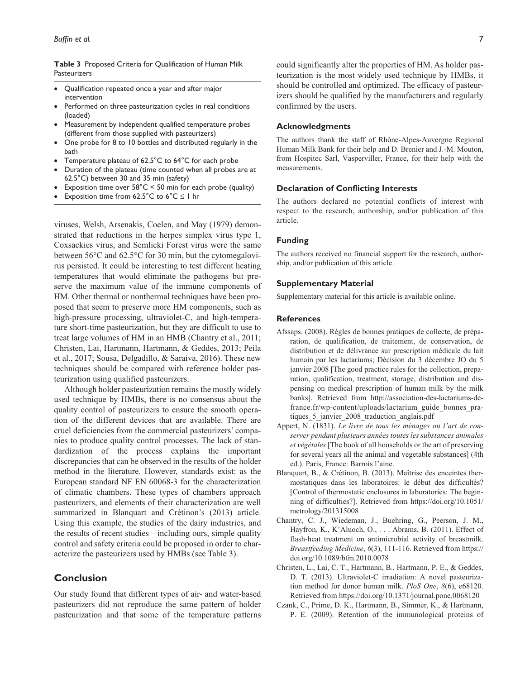**Table 3** Proposed Criteria for Qualification of Human Milk **Pasteurizers** 

- Qualification repeated once a year and after major intervention
- Performed on three pasteurization cycles in real conditions (loaded)
- Measurement by independent qualified temperature probes (different from those supplied with pasteurizers)
- One probe for 8 to 10 bottles and distributed regularly in the bath
- Temperature plateau of 62.5°C to 64°C for each probe
- Duration of the plateau (time counted when all probes are at 62.5°C) between 30 and 35 min (safety)
- Exposition time over  $58^{\circ}$ C < 50 min for each probe (quality)
- Exposition time from  $62.5^{\circ}$ C to  $6^{\circ}$ C  $\leq$  1 hr

viruses, Welsh, Arsenakis, Coelen, and May (1979) demonstrated that reductions in the herpes simplex virus type 1, Coxsackies virus, and Semlicki Forest virus were the same between 56°C and 62.5°C for 30 min, but the cytomegalovirus persisted. It could be interesting to test different heating temperatures that would eliminate the pathogens but preserve the maximum value of the immune components of HM. Other thermal or nonthermal techniques have been proposed that seem to preserve more HM components, such as high-pressure processing, ultraviolet-C, and high-temperature short-time pasteurization, but they are difficult to use to treat large volumes of HM in an HMB (Chantry et al., 2011; Christen, Lai, Hartmann, Hartmann, & Geddes, 2013; Peila et al., 2017; Sousa, Delgadillo, & Saraiva, 2016). These new techniques should be compared with reference holder pasteurization using qualified pasteurizers.

Although holder pasteurization remains the mostly widely used technique by HMBs, there is no consensus about the quality control of pasteurizers to ensure the smooth operation of the different devices that are available. There are cruel deficiencies from the commercial pasteurizers' companies to produce quality control processes. The lack of standardization of the process explains the important discrepancies that can be observed in the results of the holder method in the literature. However, standards exist: as the European standard NF EN 60068-3 for the characterization of climatic chambers. These types of chambers approach pasteurizers, and elements of their characterization are well summarized in Blanquart and Crétinon's (2013) article. Using this example, the studies of the dairy industries, and the results of recent studies—including ours, simple quality control and safety criteria could be proposed in order to characterize the pasteurizers used by HMBs (see Table 3).

# **Conclusion**

Our study found that different types of air- and water-based pasteurizers did not reproduce the same pattern of holder pasteurization and that some of the temperature patterns could significantly alter the properties of HM. As holder pasteurization is the most widely used technique by HMBs, it should be controlled and optimized. The efficacy of pasteurizers should be qualified by the manufacturers and regularly confirmed by the users.

#### **Acknowledgments**

The authors thank the staff of Rhône-Alpes-Auvergne Regional Human Milk Bank for their help and D. Brenier and J.-M. Mouton, from Hospitec Sarl, Vasperviller, France, for their help with the measurements.

#### **Declaration of Conflicting Interests**

The authors declared no potential conflicts of interest with respect to the research, authorship, and/or publication of this article.

#### **Funding**

The authors received no financial support for the research, authorship, and/or publication of this article.

#### **Supplementary Material**

Supplementary material for this article is available online.

#### **References**

- Afssaps. (2008). Règles de bonnes pratiques de collecte, de préparation, de qualification, de traitement, de conservation, de distribution et de délivrance sur prescription médicale du lait humain par les lactariums; Décision du 3 décembre JO du 5 janvier 2008 [The good practice rules for the collection, preparation, qualification, treatment, storage, distribution and dispensing on medical prescription of human milk by the milk banks]. Retrieved from [http://association-des-lactariums-de](http://association-des-lactariums-de-france.fr/wp-content/uploads/lactarium_guide_bonnes_pratiques_5_janvier_2008_traduction_anglais.pdf)[france.fr/wp-content/uploads/lactarium\\_guide\\_bonnes\\_pra](http://association-des-lactariums-de-france.fr/wp-content/uploads/lactarium_guide_bonnes_pratiques_5_janvier_2008_traduction_anglais.pdf)tiques 5 janvier 2008 traduction anglais.pdf
- Appert, N. (1831). *Le livre de tous les ménages ou l'art de conserver pendant plusieurs années toutes les substances animales et végétales* [The book of all households or the art of preserving for several years all the animal and vegetable substances] (4th ed.). Paris, France: Barrois l'aine.
- Blanquart, B., & Crétinon, B. (2013). Maîtrise des enceintes thermostatiques dans les laboratoires: le début des difficultés? [Control of thermostatic enclosures in laboratories: The beginning of difficulties?]. Retrieved from [https://doi.org/10.1051/](https://doi.org/10.1051/metrology/201315008) [metrology/201315008](https://doi.org/10.1051/metrology/201315008)
- Chantry, C. J., Wiedeman, J., Buehring, G., Peerson, J. M., Hayfron, K., K'Aluoch, O., . . . Abrams, B. (2011). Effect of flash-heat treatment on antimicrobial activity of breastmilk. *Breastfeeding Medicine*, *6*(3), 111-116. Retrieved from [https://](https://doi.org/10.1089/bfm.2010.0078) [doi.org/10.1089/bfm.2010.0078](https://doi.org/10.1089/bfm.2010.0078)
- Christen, L., Lai, C. T., Hartmann, B., Hartmann, P. E., & Geddes, D. T. (2013). Ultraviolet-C irradiation: A novel pasteurization method for donor human milk. *PloS One*, *8*(6), e68120. Retrieved from<https://doi.org/10.1371/journal.pone.0068120>
- Czank, C., Prime, D. K., Hartmann, B., Simmer, K., & Hartmann, P. E. (2009). Retention of the immunological proteins of